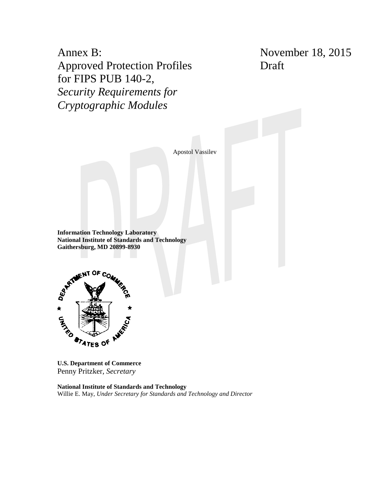Annex B: Approved Protection Profiles for FIPS PUB 140-2, *Security Requirements for Cryptographic Modules*

November 18, 2015 Draft

Apostol Vassilev

**Information Technology Laboratory National Institute of Standards and Technology Gaithersburg, MD 20899-8930**



**U.S. Department of Commerce** Penny Pritzker, *Secretary*

**National Institute of Standards and Technology** Willie E. May, *Under Secretary for Standards and Technology and Director*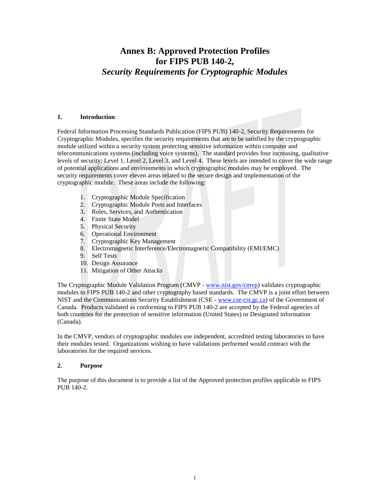# **Annex B: Approved Protection Profiles for FIPS PUB 140-2,** *Security Requirements for Cryptographic Modules*

### **1. Introduction**

Federal Information Processing Standards Publication (FIPS PUB) 140-2, Security Requirements for Cryptographic Modules, specifies the security requirements that are to be satisfied by the cryptographic module utilized within a security system protecting sensitive information within computer and telecommunications systems (including voice systems). The standard provides four increasing, qualitative levels of security: Level 1, Level 2, Level 3, and Level 4. These levels are intended to cover the wide range of potential applications and environments in which cryptographic modules may be employed. The security requirements cover eleven areas related to the secure design and implementation of the cryptographic module. These areas include the following:

- 1. Cryptographic Module Specification
- 2. Cryptographic Module Ports and Interfaces
- 3. Roles, Services, and Authentication
- 4. Finite State Model
- 5. Physical Security
- 6. Operational Environment
- 7. Cryptographic Key Management
- 8. Electromagnetic Interference/Electromagnetic Compatibility (EMI/EMC)
- 9. Self Tests
- 10. Design Assurance
- 11. Mitigation of Other Attacks

The Cryptographic Module Validation Program (CMVP - [www.nist.gov/cmvp\)](http://www.nist.gov/cmvp) validates cryptographic modules to FIPS PUB 140-2 and other cryptography based standards. The CMVP is a joint effort between NIST and the Communications Security Establishment (CSE - [www.cse-cst.gc.ca\)](http://www.cse-cst.gc.ca/) of the Government of Canada. Products validated as conforming to FIPS PUB 140-2 are accepted by the Federal agencies of both countries for the protection of sensitive information (United States) or Designated information (Canada).

In the CMVP, vendors of cryptographic modules use independent, accredited testing laboratories to have their modules tested. Organizations wishing to have validations performed would contract with the laboratories for the required services.

## **2. Purpose**

The purpose of this document is to provide a list of the Approved protection profiles applicable to FIPS PUB 140-2.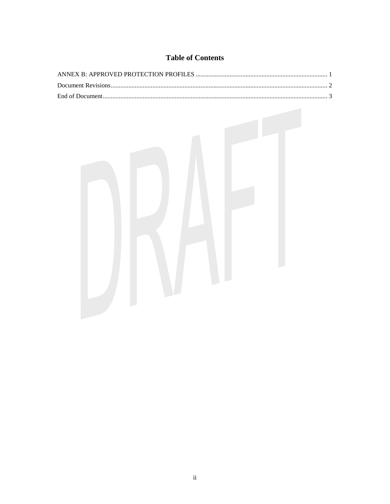## **Table of Contents**

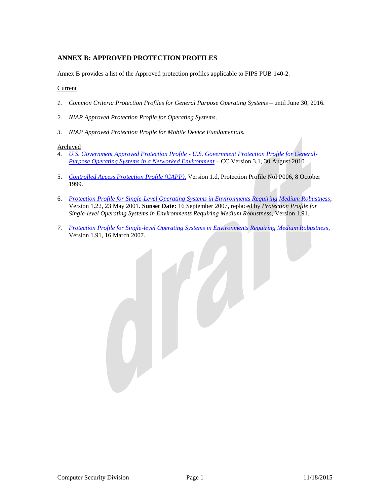## <span id="page-3-0"></span>**ANNEX B: APPROVED PROTECTION PROFILES**

Annex B provides a list of the Approved protection profiles applicable to FIPS PUB 140-2.

## Current

- *1. Common Criteria Protection Profiles for General Purpose Operating Systems* until June 30, 2016.
- *2. NIAP Approved Protection Profile for Operating Systems*.
- *3. NIAP Approved Protection Profile for Mobile Device Fundamentals.*

### Archived

- *4. U.S. Government Approved Protection Profile - [U.S. Government Protection Profile for General-](http://www.niap-ccevs.org/pp/pp_os_br_v1.0/)[Purpose Operating Systems in a Networked Environment](http://www.niap-ccevs.org/pp/pp_os_br_v1.0/)* – CC Version 3.1, 30 August 2010
- 5. *[Controlled Access Protection Profile \(CAPP\),](http://www.niap-ccevs.org/pp/pp_os_ca_v1.d.pdf)* Version 1.d, Protection Profile NoPP006, 8 October 1999.
- 6. *[Protection Profile for Single-Level Operating Systems in Environments Requiring Medium Robustness](http://www.niap-ccevs.org/pp/pp_os_sl_mr_v1.22.pdf)*, Version 1.22, 23 May 2001. **Sunset Date:** 16 September 2007, replaced by *Protection Profile for Single-level Operating Systems in Environments Requiring Medium Robustness*, Version 1.91.
- *7. [Protection Profile for Single-level Operating Systems in Environments Requiring Medium Robustness](http://www.niap-ccevs.org/pp/pp_os_sl_mr2.0_v1.91.pdf)*, Version 1.91, 16 March 2007.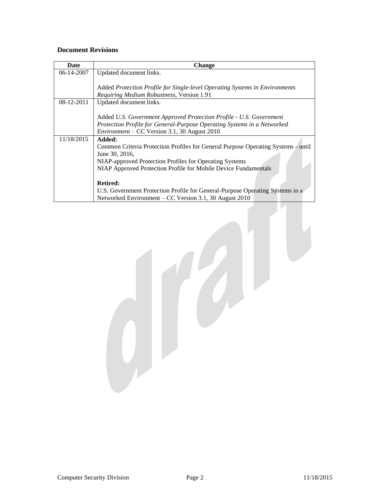## <span id="page-4-0"></span>**Document Revisions**

| Date       | Change                                                                            |
|------------|-----------------------------------------------------------------------------------|
| 06-14-2007 | Updated document links.                                                           |
|            |                                                                                   |
|            | Added Protection Profile for Single-level Operating Systems in Environments       |
|            | Requiring Medium Robustness, Version 1.91                                         |
| 08-12-2011 | Updated document links.                                                           |
|            |                                                                                   |
|            | Added U.S. Government Approved Protection Profile - U.S. Government               |
|            | Protection Profile for General-Purpose Operating Systems in a Networked           |
|            | <i>Environment</i> – CC Version 3.1, 30 August 2010                               |
| 11/18/2015 | Added:                                                                            |
|            | Common Criteria Protection Profiles for General Purpose Operating Systems - until |
|            | June 30, 2016,                                                                    |
|            | NIAP-approved Protection Profiles for Operating Systems                           |
|            | NIAP Approved Protection Profile for Mobile Device Fundamentals                   |
|            |                                                                                   |
|            | <b>Retired:</b>                                                                   |
|            | U.S. Government Protection Profile for General-Purpose Operating Systems in a     |
|            | Networked Environment – CC Version 3.1, 30 August 2010                            |